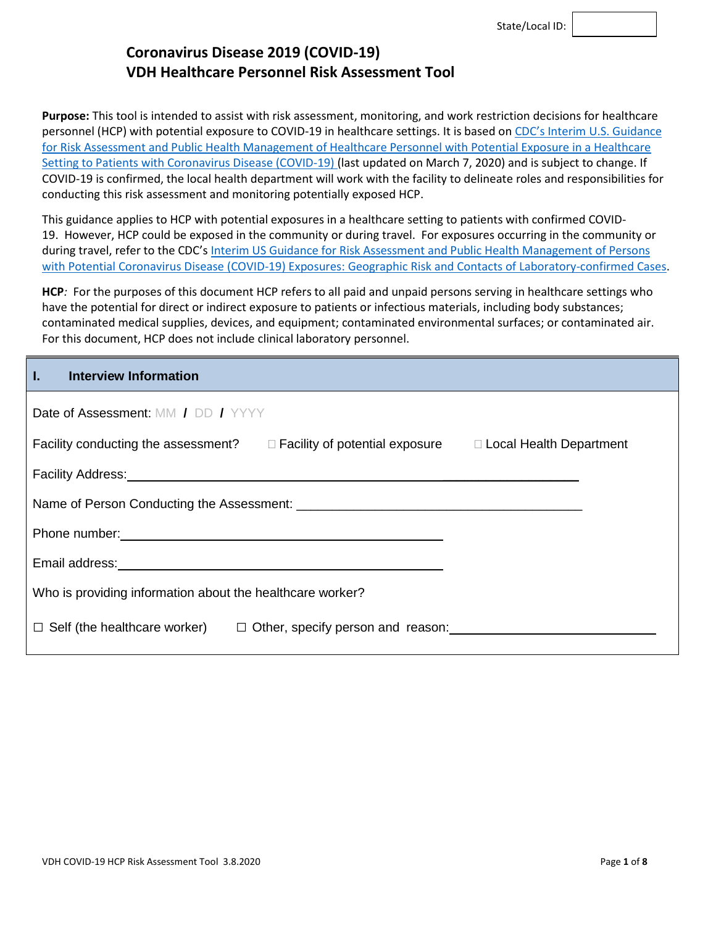**Purpose:** This tool is intended to assist with risk assessment, monitoring, and work restriction decisions for healthcare personnel (HCP) with potential exposure to COVID-19 in healthcare settings. It is based on CDC's [Interim U.S. Guidance](https://www.cdc.gov/coronavirus/2019-ncov/hcp/guidance-risk-assesment-hcp.html)  [for Risk Assessment and Public Health Management of Healthcare Personnel with Potential Exposure in a Healthcare](https://www.cdc.gov/coronavirus/2019-ncov/hcp/guidance-risk-assesment-hcp.html)  [Setting to Patients with Coronavirus Disease \(COVID-19\)](https://www.cdc.gov/coronavirus/2019-ncov/hcp/guidance-risk-assesment-hcp.html) (last updated on March 7, 2020) and is subject to change. If COVID-19 is confirmed, the local health department will work with the facility to delineate roles and responsibilities for conducting this risk assessment and monitoring potentially exposed HCP.

This guidance applies to HCP with potential exposures in a healthcare setting to patients with confirmed COVID-19. However, HCP could be exposed in the community or during travel. For exposures occurring in the community or during travel, refer to the CDC's Interim US Guidance for Risk Assessment and Public Health Management of Persons [with Potential Coronavirus Disease \(COVID-19\) Exposures: Geographic Risk and Contacts of Laboratory-confirmed Cases.](https://www.cdc.gov/coronavirus/2019-ncov/php/risk-assessment.html)

**HCP***:* For the purposes of this document HCP refers to all paid and unpaid persons serving in healthcare settings who have the potential for direct or indirect exposure to patients or infectious materials, including body substances; contaminated medical supplies, devices, and equipment; contaminated environmental surfaces; or contaminated air. For this document, HCP does not include clinical laboratory personnel.

| Interview Information                                                                                       |  |  |  |  |  |
|-------------------------------------------------------------------------------------------------------------|--|--|--|--|--|
| Date of Assessment: MM / DD / YYYY                                                                          |  |  |  |  |  |
| Facility conducting the assessment?<br>$\Box$ Facility of potential exposure $\Box$ Local Health Department |  |  |  |  |  |
|                                                                                                             |  |  |  |  |  |
|                                                                                                             |  |  |  |  |  |
|                                                                                                             |  |  |  |  |  |
|                                                                                                             |  |  |  |  |  |
| Who is providing information about the healthcare worker?                                                   |  |  |  |  |  |
| $\Box$ Self (the healthcare worker)<br>$\Box$ Other, specify person and reason:                             |  |  |  |  |  |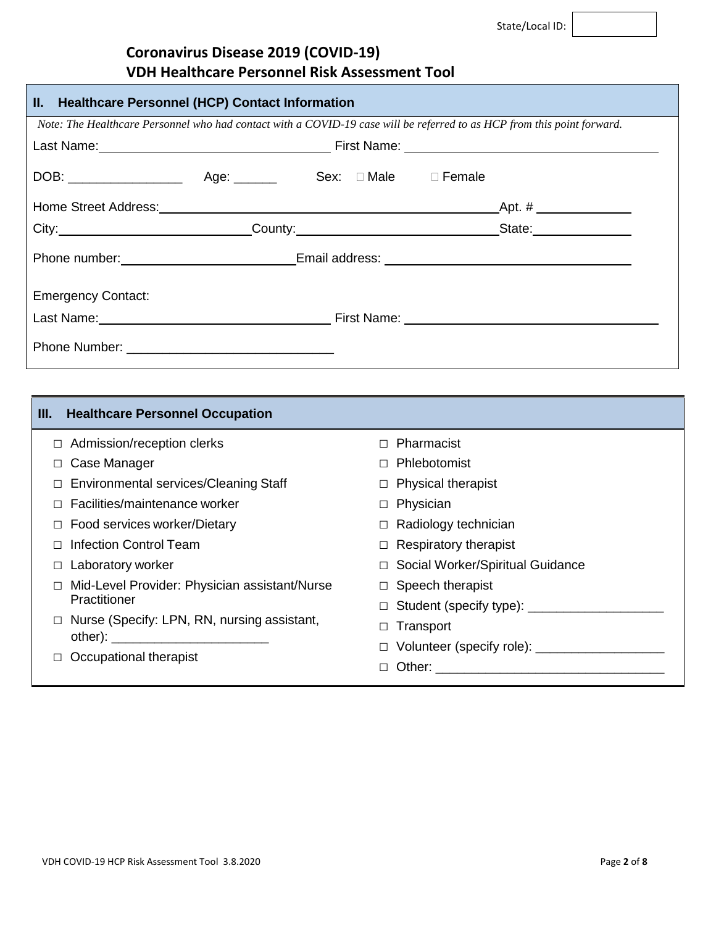| II. Healthcare Personnel (HCP) Contact Information                                                                      |  |  |                                                                                                                                                                                                                                     |  |  |
|-------------------------------------------------------------------------------------------------------------------------|--|--|-------------------------------------------------------------------------------------------------------------------------------------------------------------------------------------------------------------------------------------|--|--|
| Note: The Healthcare Personnel who had contact with a COVID-19 case will be referred to as HCP from this point forward. |  |  |                                                                                                                                                                                                                                     |  |  |
|                                                                                                                         |  |  | Last Name: <u>Name:</u> Case of Case of Case of Case of Case of Case of Case of Case of Case of Case of Case of Case of Case of Case of Case of Case of Case of Case of Case of Case of Case of Case of Case of Case of Case of Cas |  |  |
|                                                                                                                         |  |  |                                                                                                                                                                                                                                     |  |  |
|                                                                                                                         |  |  |                                                                                                                                                                                                                                     |  |  |
|                                                                                                                         |  |  | City: City: City: County: County: County: County: City: City: City: City: City: City: City: City: County: County: County: County: City: City: City: City: City: City: City: City: City: City: City: City: City: City: City: Ci      |  |  |
|                                                                                                                         |  |  |                                                                                                                                                                                                                                     |  |  |
| <b>Emergency Contact:</b>                                                                                               |  |  |                                                                                                                                                                                                                                     |  |  |
|                                                                                                                         |  |  | Last Name: <u>Name:</u> Name: Name: Name: Name: Name: Name: Name: Name: Name: Name: Name: Name: Name: Name: Name: Name: Name: Name: Name: Name: Name: Name: Name: Name: Name: Name: Name: Name: Name: Name: Name: Name: Name: Name: |  |  |
|                                                                                                                         |  |  |                                                                                                                                                                                                                                     |  |  |

| <b>Healthcare Personnel Occupation</b><br>III.                |                                         |
|---------------------------------------------------------------|-----------------------------------------|
| Admission/reception clerks<br>$\Box$                          | Pharmacist<br>П.                        |
| Case Manager                                                  | Phlebotomist                            |
| <b>Environmental services/Cleaning Staff</b>                  | $\Box$ Physical therapist               |
| Facilities/maintenance worker                                 | Physician<br>$\Box$                     |
| Food services worker/Dietary                                  | $\Box$ Radiology technician             |
| <b>Infection Control Team</b>                                 | $\Box$ Respiratory therapist            |
| Laboratory worker<br>$\Box$                                   | □ Social Worker/Spiritual Guidance      |
| Mid-Level Provider: Physician assistant/Nurse<br>Practitioner | $\Box$ Speech therapist                 |
|                                                               | □ Student (specify type): _________     |
| Nurse (Specify: LPN, RN, nursing assistant,<br>$\Box$         | Transport<br>$\Box$                     |
|                                                               | Volunteer (specify role): _____________ |
| Occupational therapist                                        | П                                       |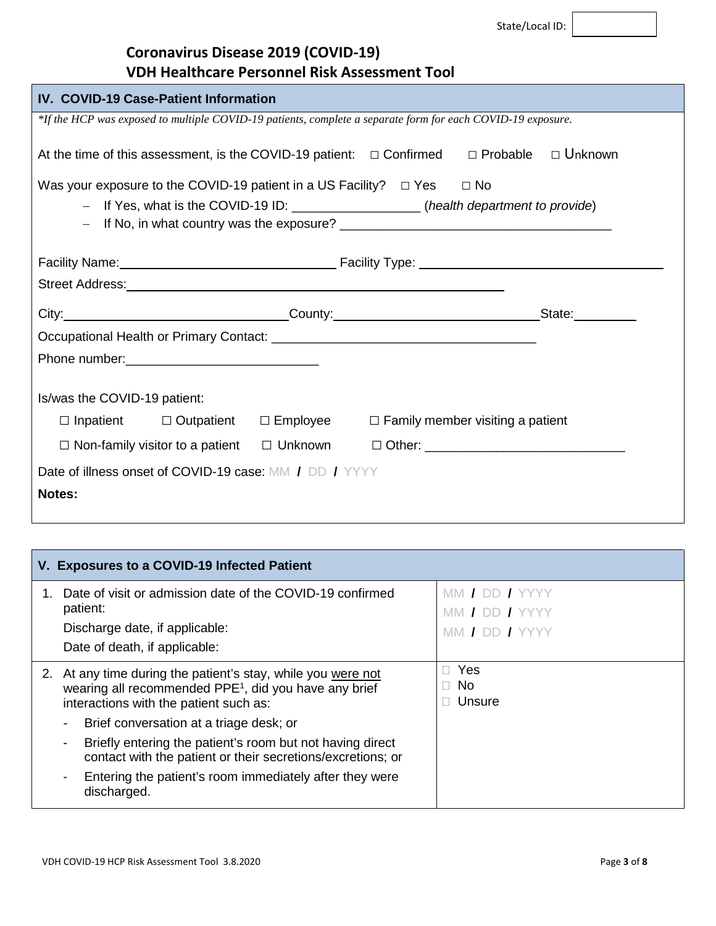| <b>IV. COVID-19 Case-Patient Information</b>                                                                   |                                                                                                             |  |  |  |  |
|----------------------------------------------------------------------------------------------------------------|-------------------------------------------------------------------------------------------------------------|--|--|--|--|
|                                                                                                                | *If the HCP was exposed to multiple COVID-19 patients, complete a separate form for each COVID-19 exposure. |  |  |  |  |
| At the time of this assessment, is the COVID-19 patient: $\Box$ Confirmed                                      | □ Unknown<br>□ Probable                                                                                     |  |  |  |  |
| Was your exposure to the COVID-19 patient in a US Facility? $\Box$ Yes $\Box$ No                               |                                                                                                             |  |  |  |  |
| - If Yes, what is the COVID-19 ID: ___________________(health department to provide)                           |                                                                                                             |  |  |  |  |
|                                                                                                                |                                                                                                             |  |  |  |  |
|                                                                                                                |                                                                                                             |  |  |  |  |
|                                                                                                                |                                                                                                             |  |  |  |  |
|                                                                                                                |                                                                                                             |  |  |  |  |
| City: State: State: State: State: State: State: State: State: State: State: State: State: State: State: State: |                                                                                                             |  |  |  |  |
|                                                                                                                |                                                                                                             |  |  |  |  |
|                                                                                                                |                                                                                                             |  |  |  |  |
|                                                                                                                |                                                                                                             |  |  |  |  |
| Is/was the COVID-19 patient:                                                                                   |                                                                                                             |  |  |  |  |
| $\Box$ Inpatient $\Box$ Outpatient $\Box$ Employee $\Box$ Family member visiting a patient                     |                                                                                                             |  |  |  |  |
| □ Non-family visitor to a patient □ Unknown □ Other: ___________________________                               |                                                                                                             |  |  |  |  |
| Date of illness onset of COVID-19 case: MM / DD / YYYY                                                         |                                                                                                             |  |  |  |  |
| Notes:                                                                                                         |                                                                                                             |  |  |  |  |
|                                                                                                                |                                                                                                             |  |  |  |  |

|    | V. Exposures to a COVID-19 Infected Patient                                                                                                                                                                         |                                  |  |  |  |  |
|----|---------------------------------------------------------------------------------------------------------------------------------------------------------------------------------------------------------------------|----------------------------------|--|--|--|--|
|    | Date of visit or admission date of the COVID-19 confirmed<br>patient:<br>Discharge date, if applicable:<br>Date of death, if applicable:                                                                            | MM / DD / YYYY<br>MM / DD / YYYY |  |  |  |  |
| 2. | At any time during the patient's stay, while you were not<br>wearing all recommended PPE <sup>1</sup> , did you have any brief<br>interactions with the patient such as:<br>Brief conversation at a triage desk; or | Yes<br>No.<br>Unsure             |  |  |  |  |
|    | Briefly entering the patient's room but not having direct<br>contact with the patient or their secretions/excretions; or                                                                                            |                                  |  |  |  |  |
|    | Entering the patient's room immediately after they were<br>discharged.                                                                                                                                              |                                  |  |  |  |  |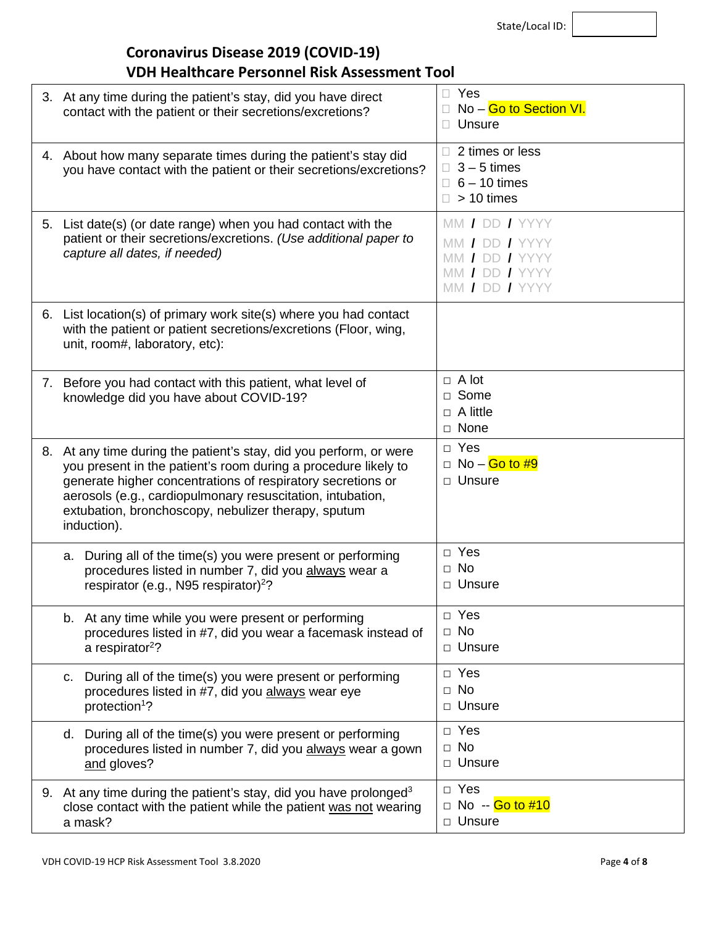State/Local ID:

## **Coronavirus Disease 2019 (COVID-19) VDH Healthcare Personnel Risk Assessment Tool**

|    | 3. At any time during the patient's stay, did you have direct<br>contact with the patient or their secretions/excretions?                                                                                                                                                                                                            | Yes<br>No - Go to Section VI.<br>Unsure                                                |
|----|--------------------------------------------------------------------------------------------------------------------------------------------------------------------------------------------------------------------------------------------------------------------------------------------------------------------------------------|----------------------------------------------------------------------------------------|
|    | 4. About how many separate times during the patient's stay did<br>you have contact with the patient or their secretions/excretions?                                                                                                                                                                                                  | 2 times or less<br>$3 - 5$ times<br>П<br>$\Box$ 6 – 10 times<br>> 10 times             |
|    | 5. List date(s) (or date range) when you had contact with the<br>patient or their secretions/excretions. (Use additional paper to<br>capture all dates, if needed)                                                                                                                                                                   | MM / DD / YYYY<br>MM / DD / YYYY<br>MM / DD / YYYY<br>MM / DD / YYYY<br>MM / DD / YYYY |
|    | 6. List location(s) of primary work site(s) where you had contact<br>with the patient or patient secretions/excretions (Floor, wing,<br>unit, room#, laboratory, etc):                                                                                                                                                               |                                                                                        |
|    | 7. Before you had contact with this patient, what level of<br>knowledge did you have about COVID-19?                                                                                                                                                                                                                                 | $\Box$ A lot<br>□ Some<br>$\Box$ A little<br>□ None                                    |
| 8. | At any time during the patient's stay, did you perform, or were<br>you present in the patient's room during a procedure likely to<br>generate higher concentrations of respiratory secretions or<br>aerosols (e.g., cardiopulmonary resuscitation, intubation,<br>extubation, bronchoscopy, nebulizer therapy, sputum<br>induction). | $\Box$ Yes<br>□ No – <mark>Go to #9</mark><br>D Unsure                                 |
|    | a. During all of the time(s) you were present or performing<br>procedures listed in number 7, did you always wear a<br>respirator (e.g., N95 respirator) <sup>2</sup> ?                                                                                                                                                              | $\Box$ Yes<br>$\Box$ No<br>□ Unsure                                                    |
|    | b. At any time while you were present or performing<br>procedures listed in #7, did you wear a facemask instead of<br>a respirator <sup>2</sup> ?                                                                                                                                                                                    | □ Yes<br>$\Box$ No<br>D Unsure                                                         |
|    | During all of the time(s) you were present or performing<br>с.<br>procedures listed in #7, did you always wear eye<br>protection <sup>1</sup> ?                                                                                                                                                                                      | $\Box$ Yes<br>$\Box$ No<br>D Unsure                                                    |
|    | During all of the time(s) you were present or performing<br>d.<br>procedures listed in number 7, did you always wear a gown<br>and gloves?                                                                                                                                                                                           | $\Box$ Yes<br>$\Box$ No<br>□ Unsure                                                    |
|    | 9. At any time during the patient's stay, did you have prolonged <sup>3</sup><br>close contact with the patient while the patient was not wearing<br>a mask?                                                                                                                                                                         | $\Box$ Yes<br>□ No -- Go to #10<br>□ Unsure                                            |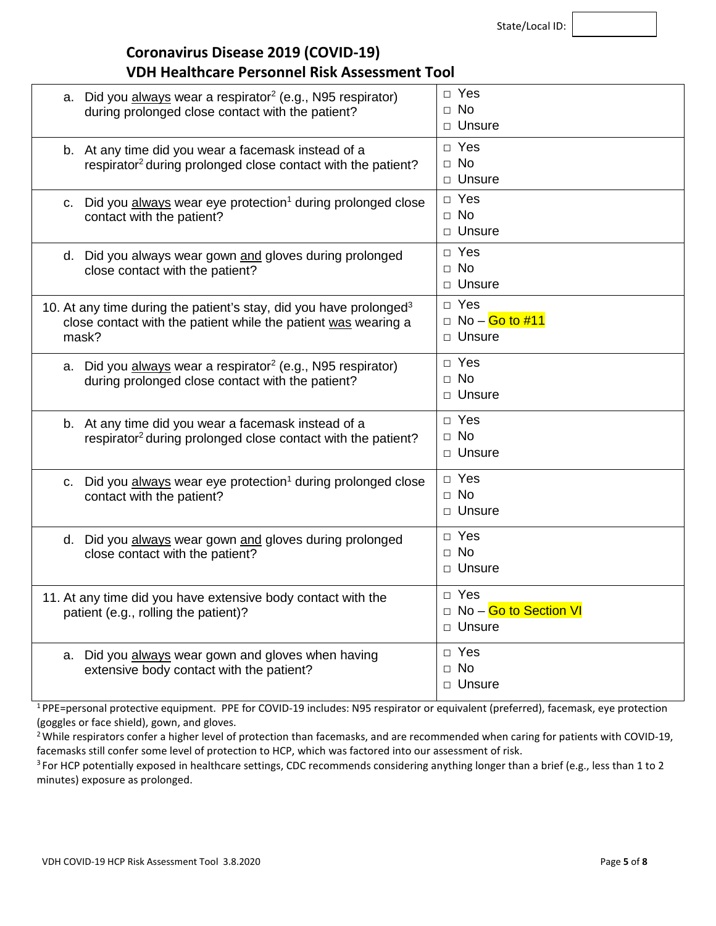State/Local ID:

#### **Coronavirus Disease 2019 (COVID-19) VDH Healthcare Personnel Risk Assessment Tool**

| a. Did you always wear a respirator <sup>2</sup> (e.g., N95 respirator)<br>during prolonged close contact with the patient?                               | $\Box$ Yes<br>$\Box$ No<br>□ Unsure               |
|-----------------------------------------------------------------------------------------------------------------------------------------------------------|---------------------------------------------------|
| b. At any time did you wear a facemask instead of a<br>respirator <sup>2</sup> during prolonged close contact with the patient?                           | □ Yes<br>$\Box$ No<br>□ Unsure                    |
| c. Did you always wear eye protection <sup>1</sup> during prolonged close<br>contact with the patient?                                                    | $\Box$ Yes<br>$\Box$ No<br>□ Unsure               |
| d. Did you always wear gown and gloves during prolonged<br>close contact with the patient?                                                                | $\Box$ Yes<br>$\Box$ No<br>□ Unsure               |
| 10. At any time during the patient's stay, did you have prolonged <sup>3</sup><br>close contact with the patient while the patient was wearing a<br>mask? | $\Box$ Yes<br>$\Box$ No – Go to #11<br>□ Unsure   |
| a. Did you always wear a respirator <sup>2</sup> (e.g., N95 respirator)<br>during prolonged close contact with the patient?                               | □ Yes<br>$\Box$ No<br>□ Unsure                    |
| b. At any time did you wear a facemask instead of a<br>respirator <sup>2</sup> during prolonged close contact with the patient?                           | D Yes<br>$\Box$ No<br>□ Unsure                    |
| c. Did you always wear eye protection <sup>1</sup> during prolonged close<br>contact with the patient?                                                    | D Yes<br>$\Box$ No<br>□ Unsure                    |
| d. Did you always wear gown and gloves during prolonged<br>close contact with the patient?                                                                | D Yes<br>$\Box$ No<br>□ Unsure                    |
| 11. At any time did you have extensive body contact with the<br>patient (e.g., rolling the patient)?                                                      | $\Box$ Yes<br>□ No - Go to Section VI<br>□ Unsure |
| a. Did you always wear gown and gloves when having<br>extensive body contact with the patient?                                                            | $\Box$ Yes<br>$\Box$ No<br>□ Unsure               |

1 PPE=personal protective equipment. PPE for COVID-19 includes: N95 respirator or equivalent (preferred), facemask, eye protection (goggles or face shield), gown, and gloves.

<sup>2</sup> While respirators confer a higher level of protection than facemasks, and are recommended when caring for patients with COVID-19, facemasks still confer some level of protection to HCP, which was factored into our assessment of risk.

<sup>3</sup> For HCP potentially exposed in healthcare settings, CDC recommends considering anything longer than a brief (e.g., less than 1 to 2 minutes) exposure as prolonged.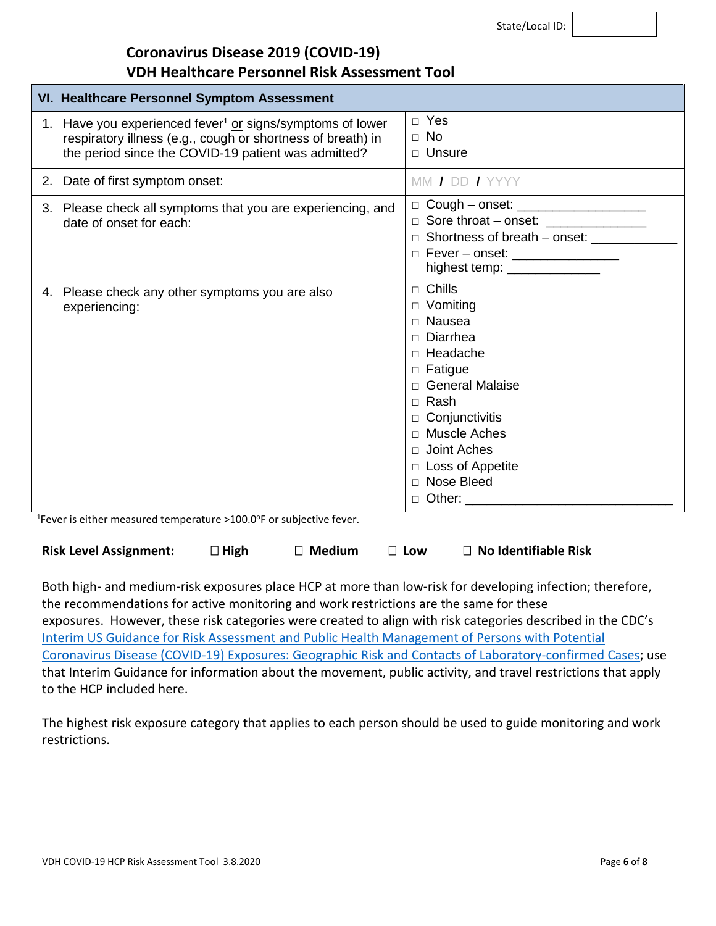State/Local ID:

#### **Coronavirus Disease 2019 (COVID-19) VDH Healthcare Personnel Risk Assessment Tool**

| VI. Healthcare Personnel Symptom Assessment                                                                                                                                                 |                                                                                                                                                                                                                                                             |  |  |  |
|---------------------------------------------------------------------------------------------------------------------------------------------------------------------------------------------|-------------------------------------------------------------------------------------------------------------------------------------------------------------------------------------------------------------------------------------------------------------|--|--|--|
| 1. Have you experienced fever <sup>1</sup> or signs/symptoms of lower<br>respiratory illness (e.g., cough or shortness of breath) in<br>the period since the COVID-19 patient was admitted? | $\Box$ Yes<br>$\Box$ No<br>$\Box$ Unsure                                                                                                                                                                                                                    |  |  |  |
| 2. Date of first symptom onset:                                                                                                                                                             | MM / DD / YYYY                                                                                                                                                                                                                                              |  |  |  |
| 3. Please check all symptoms that you are experiencing, and<br>date of onset for each:                                                                                                      | □ Cough - onset: _____________________<br>□ Sore throat - onset: _______________<br>□ Shortness of breath – onset: _________<br>$\Box$ Fever - onset: _________________<br>highest temp: _______________                                                    |  |  |  |
| 4. Please check any other symptoms you are also<br>experiencing:<br>$15$ curve in oith on monocular to measure $(400, 005, \text{cm})$ cultivative four                                     | $\Box$ Chills<br>□ Vomiting<br>□ Nausea<br>$\Box$ Diarrhea<br>$\Box$ Headache<br>$\Box$ Fatigue<br>□ General Malaise<br>$\Box$ Rash<br>$\Box$ Conjunctivitis<br>□ Muscle Aches<br>$\Box$ Joint Aches<br>□ Loss of Appetite<br>□ Nose Bleed<br>$\Box$ Other: |  |  |  |

<sup>1</sup>Fever is either measured temperature >100.0°F or subjective fever.

| <b>Risk Level Assignment:</b> | $\square$ High | $\mathbin{\mathbb{T}}$ Medium | $\Box$ Low | $\Box$ No Identifiable Risk |
|-------------------------------|----------------|-------------------------------|------------|-----------------------------|
|-------------------------------|----------------|-------------------------------|------------|-----------------------------|

Both high- and medium-risk exposures place HCP at more than low-risk for developing infection; therefore, the recommendations for active monitoring and work restrictions are the same for these exposures. However, these risk categories were created to align with risk categories described in the CDC's [Interim US Guidance for Risk Assessment and Public Health Management of Persons with Potential](https://www.cdc.gov/coronavirus/2019-ncov/php/risk-assessment.html)  [Coronavirus Disease \(COVID-19\) Exposures: Geographic Risk and Contacts of Laboratory-confirmed Cases;](https://www.cdc.gov/coronavirus/2019-ncov/php/risk-assessment.html) use that Interim Guidance for information about the movement, public activity, and travel restrictions that apply to the HCP included here.

The highest risk exposure category that applies to each person should be used to guide monitoring and work restrictions.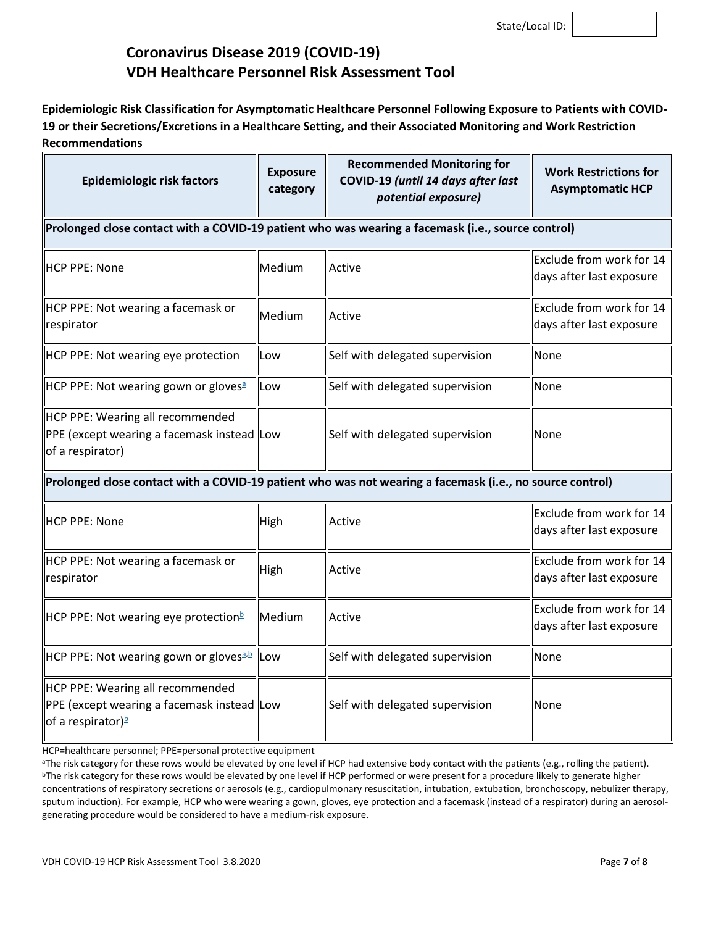**Epidemiologic Risk Classification for Asymptomatic Healthcare Personnel Following Exposure to Patients with COVID-19 or their Secretions/Excretions in a Healthcare Setting, and their Associated Monitoring and Work Restriction Recommendations**

| <b>Epidemiologic risk factors</b>                                                                               | <b>Exposure</b><br>category | <b>Recommended Monitoring for</b><br>COVID-19 (until 14 days after last<br>potential exposure) | <b>Work Restrictions for</b><br><b>Asymptomatic HCP</b> |  |  |
|-----------------------------------------------------------------------------------------------------------------|-----------------------------|------------------------------------------------------------------------------------------------|---------------------------------------------------------|--|--|
| Prolonged close contact with a COVID-19 patient who was wearing a facemask (i.e., source control)               |                             |                                                                                                |                                                         |  |  |
| IHCP PPE: None                                                                                                  | Medium                      | Active                                                                                         | Exclude from work for 14<br>days after last exposure    |  |  |
| HCP PPE: Not wearing a facemask or<br>respirator                                                                | Medium                      | Active                                                                                         | Exclude from work for 14<br>days after last exposure    |  |  |
| HCP PPE: Not wearing eye protection                                                                             | Low                         | Self with delegated supervision                                                                | None                                                    |  |  |
| HCP PPE: Not wearing gown or gloves <sup>a</sup>                                                                | Low                         | Self with delegated supervision                                                                | None                                                    |  |  |
| HCP PPE: Wearing all recommended<br>PPE (except wearing a facemask instead Low<br>of a respirator)              |                             | Self with delegated supervision                                                                | None                                                    |  |  |
| Prolonged close contact with a COVID-19 patient who was not wearing a facemask (i.e., no source control)        |                             |                                                                                                |                                                         |  |  |
| HCP PPE: None                                                                                                   | High                        | Active                                                                                         | Exclude from work for 14<br>days after last exposure    |  |  |
| HCP PPE: Not wearing a facemask or<br>respirator                                                                | High                        | Active                                                                                         | Exclude from work for 14<br>days after last exposure    |  |  |
| HCP PPE: Not wearing eye protection <sup>b</sup>                                                                | Medium                      | Active                                                                                         | Exclude from work for 14<br>days after last exposure    |  |  |
| HCP PPE: Not wearing gown or gloves <sup>a, b</sup> llow                                                        |                             | Self with delegated supervision                                                                | None                                                    |  |  |
| HCP PPE: Wearing all recommended<br>PPE (except wearing a facemask instead Low<br>of a respirator) <sup>b</sup> |                             | Self with delegated supervision                                                                | None                                                    |  |  |

HCP=healthcare personnel; PPE=personal protective equipment

<sup>&</sup>lt;sup>a</sup>The risk category for these rows would be elevated by one level if HCP had extensive body contact with the patients (e.g., rolling the patient). <sup>b</sup>The risk category for these rows would be elevated by one level if HCP performed or were present for a procedure likely to generate higher concentrations of respiratory secretions or aerosols (e.g., cardiopulmonary resuscitation, intubation, extubation, bronchoscopy, nebulizer therapy, sputum induction). For example, HCP who were wearing a gown, gloves, eye protection and a facemask (instead of a respirator) during an aerosolgenerating procedure would be considered to have a medium-risk exposure.